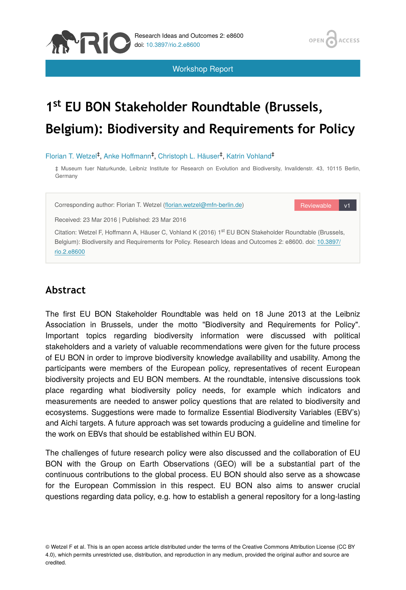

Workshop Report

# 1<sup>st</sup> EU BON Stakeholder Roundtable (Brussels, **Belgium): Biodiversity and Requirements for Policy**

#### Florian T. Wetzel<sup>‡</sup>, Anke Hoffmann<sup>‡</sup>, Christoph L. Häuser<sup>‡</sup>, Katrin Vohland<sup>‡</sup>

‡ Museum fuer Naturkunde, Leibniz Institute for Research on Evolution and Biodiversity, Invalidenstr. 43, 10115 Berlin, Germany

Corresponding author: Florian T. Wetzel (fl[orian.wetzel@mfn-berlin.de](mailto:florian.wetzel@mfn-berlin.de?subject=Your%20manuscript%20in%20PWT%20#5340/Research%20Ideas%20and%20Outcomes%20#8600))

Reviewable v1

**ACCESS** 

OPEN

Received: 23 Mar 2016 | Published: 23 Mar 2016

Citation: Wetzel F, Hoffmann A, Häuser C, Vohland K (2016) 1<sup>st</sup> EU BON Stakeholder Roundtable (Brussels, Belgium): Biodiversity and Requirements for Policy. Research Ideas and Outcomes 2: e8600. doi: [10.3897/](http://dx.doi.org/10.3897/rio.2.e8600) [rio.2.e8600](http://dx.doi.org/10.3897/rio.2.e8600)

# **Abstract**

The first EU BON Stakeholder Roundtable was held on 18 June 2013 at the Leibniz Association in Brussels, under the motto "Biodiversity and Requirements for Policy". Important topics regarding biodiversity information were discussed with political stakeholders and a variety of valuable recommendations were given for the future process of EU BON in order to improve biodiversity knowledge availability and usability. Among the participants were members of the European policy, representatives of recent European biodiversity projects and EU BON members. At the roundtable, intensive discussions took place regarding what biodiversity policy needs, for example which indicators and measurements are needed to answer policy questions that are related to biodiversity and ecosystems. Suggestions were made to formalize Essential Biodiversity Variables (EBV's) and Aichi targets. A future approach was set towards producing a guideline and timeline for the work on EBVs that should be established within EU BON.

The challenges of future research policy were also discussed and the collaboration of EU BON with the Group on Earth Observations (GEO) will be a substantial part of the continuous contributions to the global process. EU BON should also serve as a showcase for the European Commission in this respect. EU BON also aims to answer crucial questions regarding data policy, e.g. how to establish a general repository for a long-lasting

<sup>©</sup> Wetzel F et al. This is an open access article distributed under the terms of the Creative Commons Attribution License (CC BY 4.0), which permits unrestricted use, distribution, and reproduction in any medium, provided the original author and source are credited.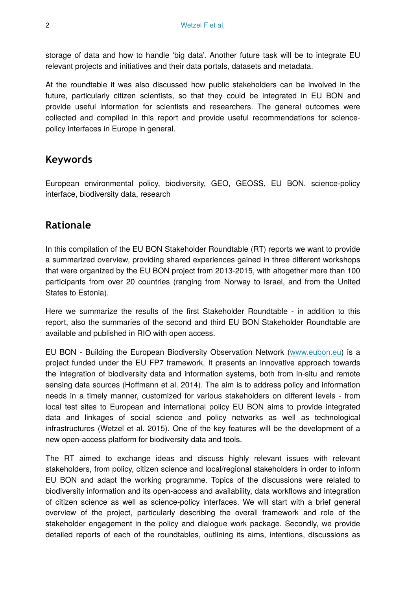storage of data and how to handle 'big data'. Another future task will be to integrate EU relevant projects and initiatives and their data portals, datasets and metadata.

At the roundtable it was also discussed how public stakeholders can be involved in the future, particularly citizen scientists, so that they could be integrated in EU BON and provide useful information for scientists and researchers. The general outcomes were collected and compiled in this report and provide useful recommendations for sciencepolicy interfaces in Europe in general.

# **Keywords**

European environmental policy, biodiversity, GEO, GEOSS, EU BON, science-policy interface, biodiversity data, research

# **Rationale**

In this compilation of the EU BON Stakeholder Roundtable (RT) reports we want to provide a summarized overview, providing shared experiences gained in three different workshops that were organized by the EU BON project from 2013-2015, with altogether more than 100 participants from over 20 countries (ranging from Norway to Israel, and from the United States to Estonia).

Here we summarize the results of the first Stakeholder Roundtable - in addition to this report, also the summaries of the second and third EU BON Stakeholder Roundtable are available and published in RIO with open access.

EU BON - Building the European Biodiversity Observation Network [\(www.eubon.eu](http://www.eubon.eu)) is a project funded under the EU FP7 framework. It presents an innovative approach towards the integration of biodiversity data and information systems, both from in-situ and remote sensing data sources (Hoffmann et al. 2014). The aim is to address policy and information needs in a timely manner, customized for various stakeholders on different levels - from local test sites to European and international policy EU BON aims to provide integrated data and linkages of social science and policy networks as well as technological infrastructures (Wetzel et al. 2015). One of the key features will be the development of a new open-access platform for biodiversity data and tools.

The RT aimed to exchange ideas and discuss highly relevant issues with relevant stakeholders, from policy, citizen science and local/regional stakeholders in order to inform EU BON and adapt the working programme. Topics of the discussions were related to biodiversity information and its open-access and availability, data workflows and integration of citizen science as well as science-policy interfaces. We will start with a brief general overview of the project, particularly describing the overall framework and role of the stakeholder engagement in the policy and dialogue work package. Secondly, we provide detailed reports of each of the roundtables, outlining its aims, intentions, discussions as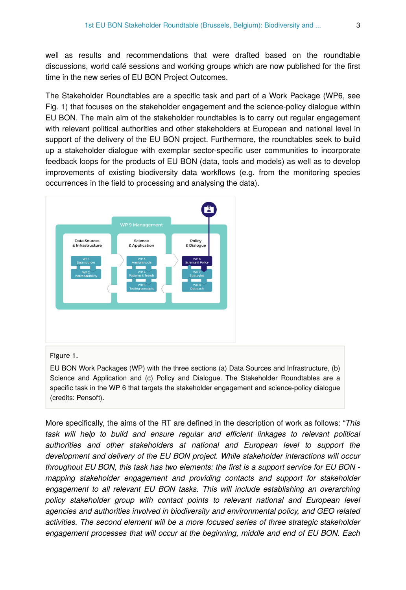well as results and recommendations that were drafted based on the roundtable discussions, world café sessions and working groups which are now published for the first time in the new series of EU BON Project Outcomes.

The Stakeholder Roundtables are a specific task and part of a Work Package (WP6, see Fig. 1) that focuses on the stakeholder engagement and the science-policy dialogue within EU BON. The main aim of the stakeholder roundtables is to carry out regular engagement with relevant political authorities and other stakeholders at European and national level in support of the delivery of the EU BON project. Furthermore, the roundtables seek to build up a stakeholder dialogue with exemplar sector-specific user communities to incorporate feedback loops for the products of EU BON (data, tools and models) as well as to develop improvements of existing biodiversity data workflows (e.g. from the monitoring species occurrences in the field to processing and analysing the data).



#### Figure 1.

EU BON Work Packages (WP) with the three sections (a) Data Sources and Infrastructure, (b) Science and Application and (c) Policy and Dialogue. The Stakeholder Roundtables are a specific task in the WP 6 that targets the stakeholder engagement and science-policy dialogue (credits: Pensoft).

More specifically, the aims of the RT are defined in the description of work as follows: "*This task will help to build and ensure regular and efficient linkages to relevant political authorities and other stakeholders at national and European level to support the development and delivery of the EU BON project. While stakeholder interactions will occur throughout EU BON, this task has two elements: the first is a support service for EU BON mapping stakeholder engagement and providing contacts and support for stakeholder engagement to all relevant EU BON tasks. This will include establishing an overarching policy stakeholder group with contact points to relevant national and European level agencies and authorities involved in biodiversity and environmental policy, and GEO related activities. The second element will be a more focused series of three strategic stakeholder engagement processes that will occur at the beginning, middle and end of EU BON. Each*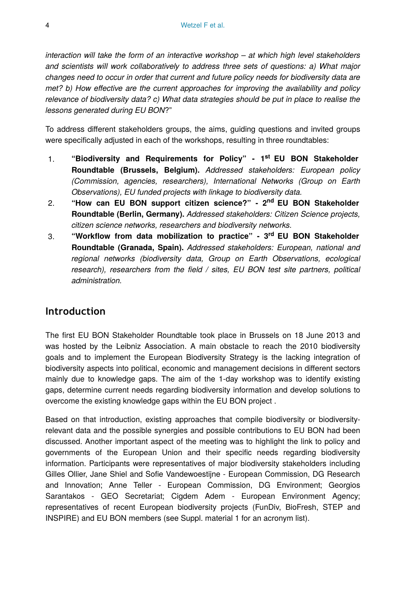*interaction will take the form of an interactive workshop – at which high level stakeholders and scientists will work collaboratively to address three sets of questions: a) What major changes need to occur in order that current and future policy needs for biodiversity data are met? b) How effective are the current approaches for improving the availability and policy relevance of biodiversity data? c) What data strategies should be put in place to realise the lessons generated during EU BON*?"

To address different stakeholders groups, the aims, guiding questions and invited groups were specifically adjusted in each of the workshops, resulting in three roundtables:

- 1. "Biodiversity and Requirements for Policy" 1<sup>st</sup> EU BON Stakeholder **Roundtable (Brussels, Belgium).** *Addressed stakeholders: European policy (Commission, agencies, researchers), International Networks (Group on Earth Observations), EU funded projects with linkage to biodiversity data.*
- 2. **"How can EU BON support citizen science?" 2 EU BON Stakeholder nd Roundtable (Berlin, Germany).** *Addressed stakeholders: Citizen Science projects, citizen science networks, researchers and biodiversity networks.*
- 3. **"Workflow from data mobilization to practice" 3 EU BON Stakeholder rd Roundtable (Granada, Spain).** *Addressed stakeholders: European, national and regional networks (biodiversity data, Group on Earth Observations, ecological research), researchers from the field / sites, EU BON test site partners, political administration.*

## **Introduction**

The first EU BON Stakeholder Roundtable took place in Brussels on 18 June 2013 and was hosted by the Leibniz Association. A main obstacle to reach the 2010 biodiversity goals and to implement the European Biodiversity Strategy is the lacking integration of biodiversity aspects into political, economic and management decisions in different sectors mainly due to knowledge gaps. The aim of the 1-day workshop was to identify existing gaps, determine current needs regarding biodiversity information and develop solutions to overcome the existing knowledge gaps within the EU BON project .

Based on that introduction, existing approaches that compile biodiversity or biodiversityrelevant data and the possible synergies and possible contributions to EU BON had been discussed. Another important aspect of the meeting was to highlight the link to policy and governments of the European Union and their specific needs regarding biodiversity information. Participants were representatives of major biodiversity stakeholders including Gilles Ollier, Jane Shiel and Sofie Vandewoestijne - European Commission, DG Research and Innovation; Anne Teller - European Commission, DG Environment; Georgios Sarantakos - GEO Secretariat; Cigdem Adem - European Environment Agency; representatives of recent European biodiversity projects (FunDiv, BioFresh, STEP and INSPIRE) and EU BON members (see Suppl. material 1 for an acronym list).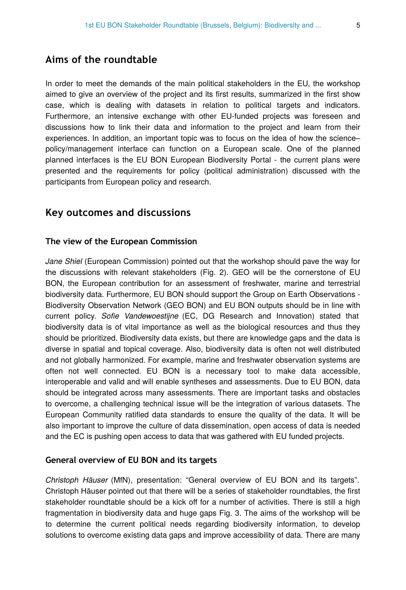In order to meet the demands of the main political stakeholders in the EU, the workshop aimed to give an overview of the project and its first results, summarized in the first show case, which is dealing with datasets in relation to political targets and indicators. Furthermore, an intensive exchange with other EU-funded projects was foreseen and discussions how to link their data and information to the project and learn from their experiences. In addition, an important topic was to focus on the idea of how the science– policy/management interface can function on a European scale. One of the planned planned interfaces is the EU BON European Biodiversity Portal - the current plans were presented and the requirements for policy (political administration) discussed with the participants from European policy and research.

# **Key outcomes and discussions**

#### **The view of the European Commission**

*Jane Shiel* (European Commission) pointed out that the workshop should pave the way for the discussions with relevant stakeholders (Fig. 2). GEO will be the cornerstone of EU BON, the European contribution for an assessment of freshwater, marine and terrestrial biodiversity data. Furthermore, EU BON should support the Group on Earth Observations - Biodiversity Observation Network (GEO BON) and EU BON outputs should be in line with current policy. *Sofie Vandewoestijne* (EC, DG Research and Innovation) stated that biodiversity data is of vital importance as well as the biological resources and thus they should be prioritized. Biodiversity data exists, but there are knowledge gaps and the data is diverse in spatial and topical coverage. Also, biodiversity data is often not well distributed and not globally harmonized. For example, marine and freshwater observation systems are often not well connected. EU BON is a necessary tool to make data accessible, interoperable and valid and will enable syntheses and assessments. Due to EU BON, data should be integrated across many assessments. There are important tasks and obstacles to overcome, a challenging technical issue will be the integration of various datasets. The European Community ratified data standards to ensure the quality of the data. It will be also important to improve the culture of data dissemination, open access of data is needed and the EC is pushing open access to data that was gathered with EU funded projects.

#### **General overview of EU BON and its targets**

*Christoph Häuser* (MfN), presentation: "General overview of EU BON and its targets". Christoph Häuser pointed out that there will be a series of stakeholder roundtables, the first stakeholder roundtable should be a kick off for a number of activities. There is still a high fragmentation in biodiversity data and huge gaps Fig. 3. The aims of the workshop will be to determine the current political needs regarding biodiversity information, to develop solutions to overcome existing data gaps and improve accessibility of data. There are many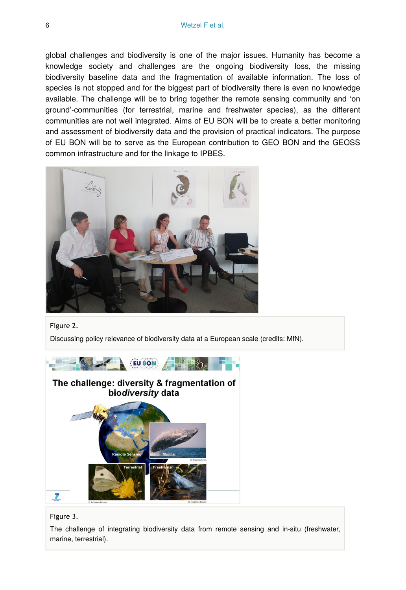global challenges and biodiversity is one of the major issues. Humanity has become a knowledge society and challenges are the ongoing biodiversity loss, the missing biodiversity baseline data and the fragmentation of available information. The loss of species is not stopped and for the biggest part of biodiversity there is even no knowledge available. The challenge will be to bring together the remote sensing community and 'on ground'-communities (for terrestrial, marine and freshwater species), as the different communities are not well integrated. Aims of EU BON will be to create a better monitoring and assessment of biodiversity data and the provision of practical indicators. The purpose of EU BON will be to serve as the European contribution to GEO BON and the GEOSS common infrastructure and for the linkage to IPBES.



Figure 2.

Discussing policy relevance of biodiversity data at a European scale (credits: MfN).





The challenge of integrating biodiversity data from remote sensing and in-situ (freshwater, marine, terrestrial).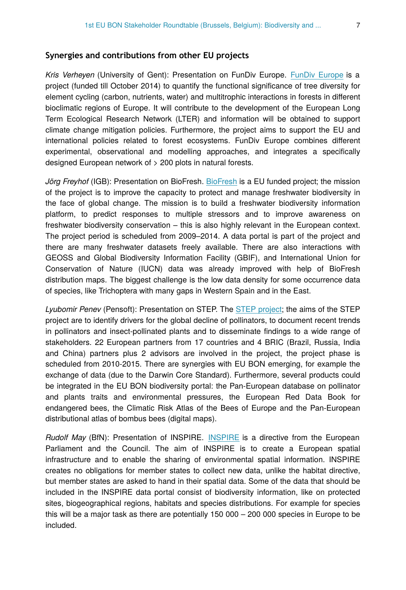#### **Synergies and contributions from other EU projects**

*Kris Verheyen* (University of Gent): Presentation on FunDiv Europe. [FunDiv Europe](http://www.fundiveurope.eu) is a project (funded till October 2014) to quantify the functional significance of tree diversity for element cycling (carbon, nutrients, water) and multitrophic interactions in forests in different bioclimatic regions of Europe. It will contribute to the development of the European Long Term Ecological Research Network (LTER) and information will be obtained to support climate change mitigation policies. Furthermore, the project aims to support the EU and international policies related to forest ecosystems. FunDiv Europe combines different experimental, observational and modelling approaches, and integrates a specifically designed European network of > 200 plots in natural forests.

*Jörg Freyhof* (IGB): Presentation on BioFresh. [BioFresh](http://www.freshwaterbiodiversity.eu) is a EU funded project; the mission of the project is to improve the capacity to protect and manage freshwater biodiversity in the face of global change. The mission is to build a freshwater biodiversity information platform, to predict responses to multiple stressors and to improve awareness on freshwater biodiversity conservation – this is also highly relevant in the European context. The project period is scheduled from 2009–2014. A data portal is part of the project and there are many freshwater datasets freely available. There are also interactions with GEOSS and Global Biodiversity Information Facility (GBIF), and International Union for Conservation of Nature (IUCN) data was already improved with help of BioFresh distribution maps. The biggest challenge is the low data density for some occurrence data of species, like Trichoptera with many gaps in Western Spain and in the East.

*Lyubomir Penev* (Pensoft): Presentation on STEP. The [STEP project;](http://www.step-project.net) the aims of the STEP project are to identify drivers for the global decline of pollinators, to document recent trends in pollinators and insect-pollinated plants and to disseminate findings to a wide range of stakeholders. 22 European partners from 17 countries and 4 BRIC (Brazil, Russia, India and China) partners plus 2 advisors are involved in the project, the project phase is scheduled from 2010-2015. There are synergies with EU BON emerging, for example the exchange of data (due to the Darwin Core Standard). Furthermore, several products could be integrated in the EU BON biodiversity portal: the Pan-European database on pollinator and plants traits and environmental pressures, the European Red Data Book for endangered bees, the Climatic Risk Atlas of the Bees of Europe and the Pan-European distributional atlas of bombus bees (digital maps).

*Rudolf May* (BfN): Presentation of INSPIRE. [INSPIRE](http://inspire.jrc.ec.europa.eu) is a directive from the European Parliament and the Council. The aim of INSPIRE is to create a European spatial infrastructure and to enable the sharing of environmental spatial information. INSPIRE creates no obligations for member states to collect new data, unlike the habitat directive, but member states are asked to hand in their spatial data. Some of the data that should be included in the INSPIRE data portal consist of biodiversity information, like on protected sites, biogeographical regions, habitats and species distributions. For example for species this will be a major task as there are potentially 150 000 – 200 000 species in Europe to be included.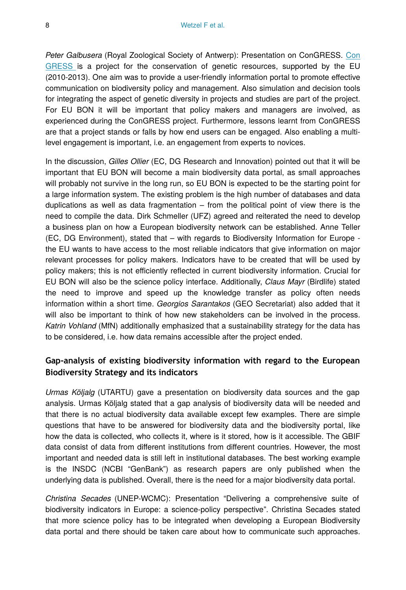*Peter Galbusera* (Royal Zoological Society of Antwerp): Presentation on ConGRESS. [Con](http://www.congressgenetics.eu) [GRESS](http://www.congressgenetics.eu) is a project for the conservation of genetic resources, supported by the EU (2010-2013). One aim was to provide a user-friendly information portal to promote effective communication on biodiversity policy and management. Also simulation and decision tools for integrating the aspect of genetic diversity in projects and studies are part of the project. For EU BON it will be important that policy makers and managers are involved, as experienced during the ConGRESS project. Furthermore, lessons learnt from ConGRESS are that a project stands or falls by how end users can be engaged. Also enabling a multilevel engagement is important, i.e. an engagement from experts to novices.

In the discussion, *Gilles Ollier* (EC, DG Research and Innovation) pointed out that it will be important that EU BON will become a main biodiversity data portal, as small approaches will probably not survive in the long run, so EU BON is expected to be the starting point for a large information system. The existing problem is the high number of databases and data duplications as well as data fragmentation – from the political point of view there is the need to compile the data. Dirk Schmeller (UFZ) agreed and reiterated the need to develop a business plan on how a European biodiversity network can be established. Anne Teller (EC, DG Environment), stated that – with regards to Biodiversity Information for Europe the EU wants to have access to the most reliable indicators that give information on major relevant processes for policy makers. Indicators have to be created that will be used by policy makers; this is not efficiently reflected in current biodiversity information. Crucial for EU BON will also be the science policy interface. Additionally, *Claus Mayr* (Birdlife) stated the need to improve and speed up the knowledge transfer as policy often needs information within a short time. *Georgios Sarantakos* (GEO Secretariat) also added that it will also be important to think of how new stakeholders can be involved in the process. *Katrin Vohland* (MfN) additionally emphasized that a sustainability strategy for the data has to be considered, i.e. how data remains accessible after the project ended.

## **Gap-analysis of existing biodiversity information with regard to the European Biodiversity Strategy and its indicators**

*Urmas Köljalg* (UTARTU) gave a presentation on biodiversity data sources and the gap analysis. Urmas Köljalg stated that a gap analysis of biodiversity data will be needed and that there is no actual biodiversity data available except few examples. There are simple questions that have to be answered for biodiversity data and the biodiversity portal, like how the data is collected, who collects it, where is it stored, how is it accessible. The GBIF data consist of data from different institutions from different countries. However, the most important and needed data is still left in institutional databases. The best working example is the INSDC (NCBI "GenBank") as research papers are only published when the underlying data is published. Overall, there is the need for a major biodiversity data portal.

*Christina Secades* (UNEP-WCMC): Presentation "Delivering a comprehensive suite of biodiversity indicators in Europe: a science-policy perspective". Christina Secades stated that more science policy has to be integrated when developing a European Biodiversity data portal and there should be taken care about how to communicate such approaches.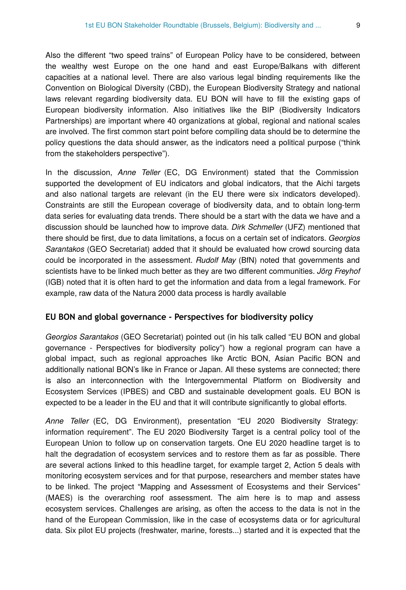Also the different "two speed trains" of European Policy have to be considered, between the wealthy west Europe on the one hand and east Europe/Balkans with different capacities at a national level. There are also various legal binding requirements like the Convention on Biological Diversity (CBD), the European Biodiversity Strategy and national laws relevant regarding biodiversity data. EU BON will have to fill the existing gaps of European biodiversity information. Also initiatives like the BIP (Biodiversity Indicators Partnerships) are important where 40 organizations at global, regional and national scales are involved. The first common start point before compiling data should be to determine the policy questions the data should answer, as the indicators need a political purpose ("think from the stakeholders perspective").

In the discussion, *Anne Teller* (EC, DG Environment) stated that the Commission supported the development of EU indicators and global indicators, that the Aichi targets and also national targets are relevant (in the EU there were six indicators developed). Constraints are still the European coverage of biodiversity data, and to obtain long-term data series for evaluating data trends. There should be a start with the data we have and a discussion should be launched how to improve data. *Dirk Schmeller* (UFZ) mentioned that there should be first, due to data limitations, a focus on a certain set of indicators. *Georgios Sarantakos* (GEO Secretariat) added that it should be evaluated how crowd sourcing data could be incorporated in the assessment. *Rudolf May* (BfN) noted that governments and scientists have to be linked much better as they are two different communities. *Jörg Freyhof* (IGB) noted that it is often hard to get the information and data from a legal framework. For example, raw data of the Natura 2000 data process is hardly available

#### **EU BON and global governance - Perspectives for biodiversity policy**

*Georgios Sarantakos* (GEO Secretariat) pointed out (in his talk called "EU BON and global governance - Perspectives for biodiversity policy") how a regional program can have a global impact, such as regional approaches like Arctic BON, Asian Pacific BON and additionally national BON's like in France or Japan. All these systems are connected; there is also an interconnection with the Intergovernmental Platform on Biodiversity and Ecosystem Services (IPBES) and CBD and sustainable development goals. EU BON is expected to be a leader in the EU and that it will contribute significantly to global efforts.

*Anne Teller* (EC, DG Environment), presentation "EU 2020 Biodiversity Strategy: information requirement". The EU 2020 Biodiversity Target is a central policy tool of the European Union to follow up on conservation targets. One EU 2020 headline target is to halt the degradation of ecosystem services and to restore them as far as possible. There are several actions linked to this headline target, for example target 2, Action 5 deals with monitoring ecosystem services and for that purpose, researchers and member states have to be linked. The project "Mapping and Assessment of Ecosystems and their Services" (MAES) is the overarching roof assessment. The aim here is to map and assess ecosystem services. Challenges are arising, as often the access to the data is not in the hand of the European Commission, like in the case of ecosystems data or for agricultural data. Six pilot EU projects (freshwater, marine, forests...) started and it is expected that the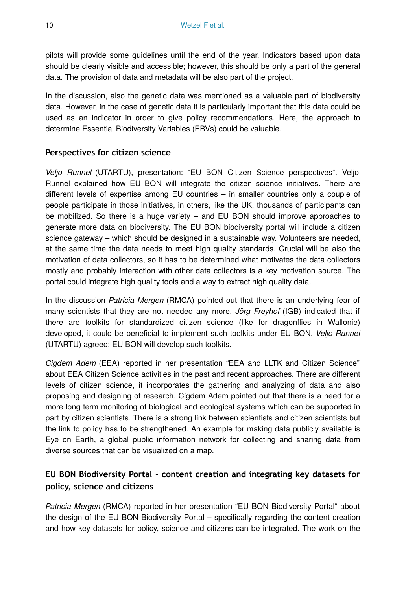pilots will provide some guidelines until the end of the year. Indicators based upon data should be clearly visible and accessible; however, this should be only a part of the general data. The provision of data and metadata will be also part of the project.

In the discussion, also the genetic data was mentioned as a valuable part of biodiversity data. However, in the case of genetic data it is particularly important that this data could be used as an indicator in order to give policy recommendations. Here, the approach to determine Essential Biodiversity Variables (EBVs) could be valuable.

#### **Perspectives for citizen science**

*Veljo Runnel* (UTARTU), presentation: "EU BON Citizen Science perspectives". Veljo Runnel explained how EU BON will integrate the citizen science initiatives. There are different levels of expertise among EU countries – in smaller countries only a couple of people participate in those initiatives, in others, like the UK, thousands of participants can be mobilized. So there is a huge variety – and EU BON should improve approaches to generate more data on biodiversity. The EU BON biodiversity portal will include a citizen science gateway – which should be designed in a sustainable way. Volunteers are needed, at the same time the data needs to meet high quality standards. Crucial will be also the motivation of data collectors, so it has to be determined what motivates the data collectors mostly and probably interaction with other data collectors is a key motivation source. The portal could integrate high quality tools and a way to extract high quality data.

In the discussion *Patricia Mergen* (RMCA) pointed out that there is an underlying fear of many scientists that they are not needed any more. *Jörg Freyhof* (IGB) indicated that if there are toolkits for standardized citizen science (like for dragonflies in Wallonie) developed, it could be beneficial to implement such toolkits under EU BON. *Veljo Runnel* (UTARTU) agreed; EU BON will develop such toolkits.

*Cigdem Adem* (EEA) reported in her presentation "EEA and LLTK and Citizen Science" about EEA Citizen Science activities in the past and recent approaches. There are different levels of citizen science, it incorporates the gathering and analyzing of data and also proposing and designing of research. Cigdem Adem pointed out that there is a need for a more long term monitoring of biological and ecological systems which can be supported in part by citizen scientists. There is a strong link between scientists and citizen scientists but the link to policy has to be strengthened. An example for making data publicly available is Eye on Earth, a global public information network for collecting and sharing data from diverse sources that can be visualized on a map.

# **EU BON Biodiversity Portal - content creation and integrating key datasets for policy, science and citizens**

*Patricia Mergen* (RMCA) reported in her presentation "EU BON Biodiversity Portal" about the design of the EU BON Biodiversity Portal – specifically regarding the content creation and how key datasets for policy, science and citizens can be integrated. The work on the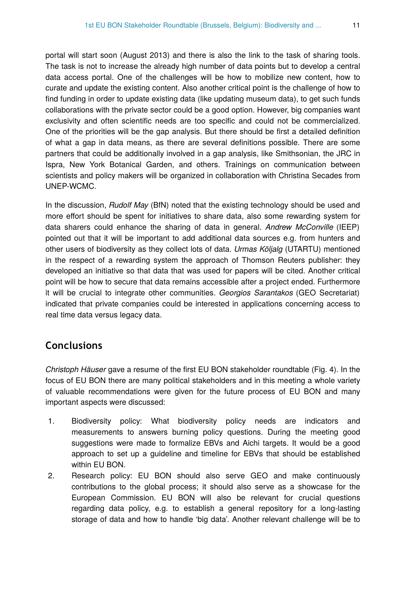portal will start soon (August 2013) and there is also the link to the task of sharing tools. The task is not to increase the already high number of data points but to develop a central data access portal. One of the challenges will be how to mobilize new content, how to curate and update the existing content. Also another critical point is the challenge of how to find funding in order to update existing data (like updating museum data), to get such funds collaborations with the private sector could be a good option. However, big companies want exclusivity and often scientific needs are too specific and could not be commercialized. One of the priorities will be the gap analysis. But there should be first a detailed definition of what a gap in data means, as there are several definitions possible. There are some partners that could be additionally involved in a gap analysis, like Smithsonian, the JRC in Ispra, New York Botanical Garden, and others. Trainings on communication between scientists and policy makers will be organized in collaboration with Christina Secades from UNEP-WCMC.

In the discussion, *Rudolf May* (BfN) noted that the existing technology should be used and more effort should be spent for initiatives to share data, also some rewarding system for data sharers could enhance the sharing of data in general. *Andrew McConville* (IEEP) pointed out that it will be important to add additional data sources e.g. from hunters and other users of biodiversity as they collect lots of data. *Urmas Köljalg* (UTARTU) mentioned in the respect of a rewarding system the approach of Thomson Reuters publisher: they developed an initiative so that data that was used for papers will be cited. Another critical point will be how to secure that data remains accessible after a project ended. Furthermore it will be crucial to integrate other communities. *Georgios Sarantakos* (GEO Secretariat) indicated that private companies could be interested in applications concerning access to real time data versus legacy data.

# **Conclusions**

*Christoph Häuser* gave a resume of the first EU BON stakeholder roundtable (Fig. 4). In the focus of EU BON there are many political stakeholders and in this meeting a whole variety of valuable recommendations were given for the future process of EU BON and many important aspects were discussed:

- 1. Biodiversity policy: What biodiversity policy needs are indicators and measurements to answers burning policy questions. During the meeting good suggestions were made to formalize EBVs and Aichi targets. It would be a good approach to set up a guideline and timeline for EBVs that should be established within EU BON.
- 2. Research policy: EU BON should also serve GEO and make continuously contributions to the global process; it should also serve as a showcase for the European Commission. EU BON will also be relevant for crucial questions regarding data policy, e.g. to establish a general repository for a long-lasting storage of data and how to handle 'big data'. Another relevant challenge will be to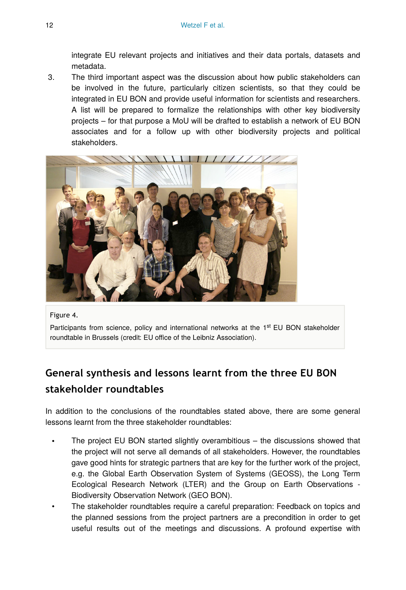integrate EU relevant projects and initiatives and their data portals, datasets and metadata.

3. The third important aspect was the discussion about how public stakeholders can be involved in the future, particularly citizen scientists, so that they could be integrated in EU BON and provide useful information for scientists and researchers. A list will be prepared to formalize the relationships with other key biodiversity projects – for that purpose a MoU will be drafted to establish a network of EU BON associates and for a follow up with other biodiversity projects and political stakeholders.



#### Figure 4.

Participants from science, policy and international networks at the 1<sup>st</sup> EU BON stakeholder roundtable in Brussels (credit: EU office of the Leibniz Association).

# **General synthesis and lessons learnt from the three EU BON stakeholder roundtables**

In addition to the conclusions of the roundtables stated above, there are some general lessons learnt from the three stakeholder roundtables:

- The project EU BON started slightly overambitious  $-$  the discussions showed that the project will not serve all demands of all stakeholders. However, the roundtables gave good hints for strategic partners that are key for the further work of the project, e.g. the Global Earth Observation System of Systems (GEOSS), the Long Term Ecological Research Network (LTER) and the Group on Earth Observations - Biodiversity Observation Network (GEO BON).
- The stakeholder roundtables require a careful preparation: Feedback on topics and the planned sessions from the project partners are a precondition in order to get useful results out of the meetings and discussions. A profound expertise with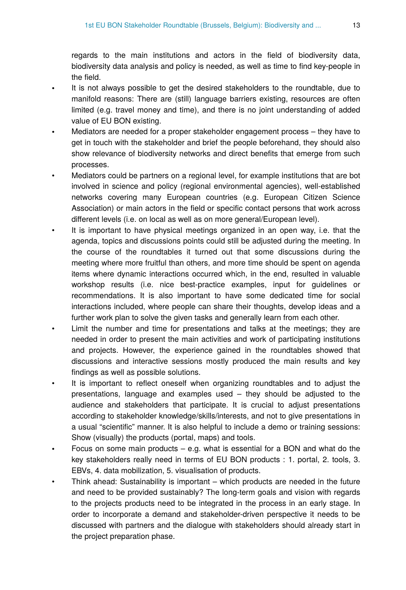regards to the main institutions and actors in the field of biodiversity data, biodiversity data analysis and policy is needed, as well as time to find key-people in the field.

- It is not always possible to get the desired stakeholders to the roundtable, due to manifold reasons: There are (still) language barriers existing, resources are often limited (e.g. travel money and time), and there is no joint understanding of added value of EU BON existing.
- Mediators are needed for a proper stakeholder engagement process they have to get in touch with the stakeholder and brief the people beforehand, they should also show relevance of biodiversity networks and direct benefits that emerge from such processes.
- Mediators could be partners on a regional level, for example institutions that are bot involved in science and policy (regional environmental agencies), well-established networks covering many European countries (e.g. European Citizen Science Association) or main actors in the field or specific contact persons that work across different levels (i.e. on local as well as on more general/European level).
- It is important to have physical meetings organized in an open way, i.e. that the agenda, topics and discussions points could still be adjusted during the meeting. In the course of the roundtables it turned out that some discussions during the meeting where more fruitful than others, and more time should be spent on agenda items where dynamic interactions occurred which, in the end, resulted in valuable workshop results (i.e. nice best-practice examples, input for guidelines or recommendations. It is also important to have some dedicated time for social interactions included, where people can share their thoughts, develop ideas and a further work plan to solve the given tasks and generally learn from each other.
- Limit the number and time for presentations and talks at the meetings; they are needed in order to present the main activities and work of participating institutions and projects. However, the experience gained in the roundtables showed that discussions and interactive sessions mostly produced the main results and key findings as well as possible solutions.
- It is important to reflect oneself when organizing roundtables and to adjust the presentations, language and examples used – they should be adjusted to the audience and stakeholders that participate. It is crucial to adjust presentations according to stakeholder knowledge/skills/interests, and not to give presentations in a usual "scientific" manner. It is also helpful to include a demo or training sessions: Show (visually) the products (portal, maps) and tools.
- Focus on some main products  $-$  e.g. what is essential for a BON and what do the key stakeholders really need in terms of EU BON products : 1. portal, 2. tools, 3. EBVs, 4. data mobilization, 5. visualisation of products.
- Think ahead: Sustainability is important which products are needed in the future and need to be provided sustainably? The long-term goals and vision with regards to the projects products need to be integrated in the process in an early stage. In order to incorporate a demand and stakeholder-driven perspective it needs to be discussed with partners and the dialogue with stakeholders should already start in the project preparation phase.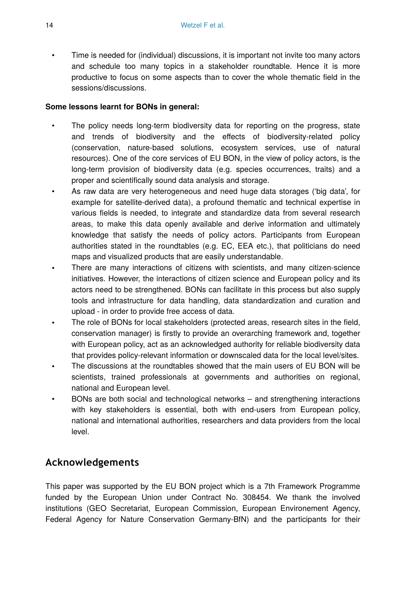• Time is needed for (individual) discussions, it is important not invite too many actors and schedule too many topics in a stakeholder roundtable. Hence it is more productive to focus on some aspects than to cover the whole thematic field in the sessions/discussions.

#### **Some lessons learnt for BONs in general:**

- The policy needs long-term biodiversity data for reporting on the progress, state and trends of biodiversity and the effects of biodiversity-related policy (conservation, nature-based solutions, ecosystem services, use of natural resources). One of the core services of EU BON, in the view of policy actors, is the long-term provision of biodiversity data (e.g. species occurrences, traits) and a proper and scientifically sound data analysis and storage.
- As raw data are very heterogeneous and need huge data storages ('big data', for example for satellite-derived data), a profound thematic and technical expertise in various fields is needed, to integrate and standardize data from several research areas, to make this data openly available and derive information and ultimately knowledge that satisfy the needs of policy actors. Participants from European authorities stated in the roundtables (e.g. EC, EEA etc.), that politicians do need maps and visualized products that are easily understandable.
- There are many interactions of citizens with scientists, and many citizen-science initiatives. However, the interactions of citizen science and European policy and its actors need to be strengthened. BONs can facilitate in this process but also supply tools and infrastructure for data handling, data standardization and curation and upload - in order to provide free access of data.
- The role of BONs for local stakeholders (protected areas, research sites in the field, conservation manager) is firstly to provide an overarching framework and, together with European policy, act as an acknowledged authority for reliable biodiversity data that provides policy-relevant information or downscaled data for the local level/sites.
- The discussions at the roundtables showed that the main users of EU BON will be scientists, trained professionals at governments and authorities on regional, national and European level.
- BONs are both social and technological networks and strengthening interactions with key stakeholders is essential, both with end-users from European policy, national and international authorities, researchers and data providers from the local level.

# **Acknowledgements**

This paper was supported by the EU BON project which is a 7th Framework Programme funded by the European Union under Contract No. 308454. We thank the involved institutions (GEO Secretariat, European Commission, European Environement Agency, Federal Agency for Nature Conservation Germany-BfN) and the participants for their